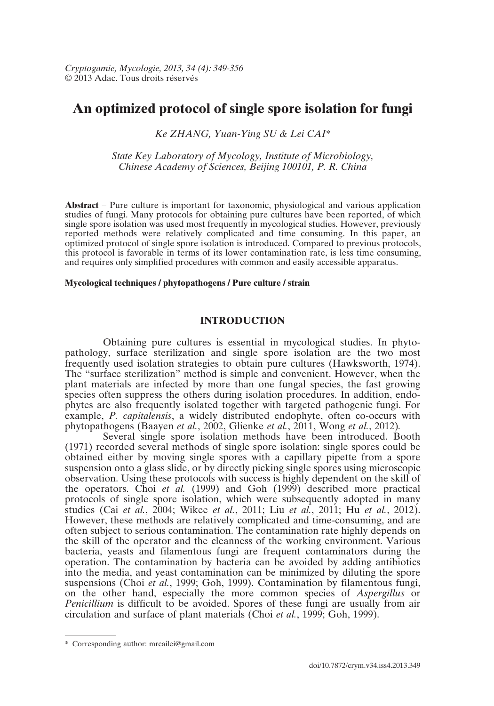# **An optimized protocol of single spore isolation for fungi**

*Ke ZHANG, Yuan-Ying SU & Lei CAI\**

*State Key Laboratory of Mycology, Institute of Microbiology, Chinese Academy of Sciences, Beijing 100101, P. R. China*

**Abstract** – Pure culture is important for taxonomic, physiological and various application studies of fungi. Many protocols for obtaining pure cultures have been reported, of which single spore isolation was used most frequently in mycological studies. However, previously reported methods were relatively complicated and time consuming. In this paper, an optimized protocol of single spore isolation is introduced. Compared to previous protocols, this protocol is favorable in terms of its lower contamination rate, is less time consuming, and requires only simplified procedures with common and easily accessible apparatus.

#### **Mycological techniques / phytopathogens / Pure culture / strain**

## **INTRODUCTION**

Obtaining pure cultures is essential in mycological studies. In phytopathology, surface sterilization and single spore isolation are the two most frequently used isolation strategies to obtain pure cultures (Hawksworth, 1974). The "surface sterilization" method is simple and convenient. However, when the plant materials are infected by more than one fungal species, the fast growing species often suppress the others during isolation procedures. In addition, endophytes are also frequently isolated together with targeted pathogenic fungi. For example, *P. capitalensis*, a widely distributed endophyte, often co-occurs with phytopathogens (Baayen *et al.*, 2002, Glienke *et al.*, 2011, Wong *et al.*, 2012)*.*

Several single spore isolation methods have been introduced. Booth (1971) recorded several methods of single spore isolation: single spores could be obtained either by moving single spores with a capillary pipette from a spore suspension onto a glass slide, or by directly picking single spores using microscopic observation. Using these protocols with success is highly dependent on the skill of the operators. Choi *et al.* (1999) and Goh (1999) described more practical protocols of single spore isolation, which were subsequently adopted in many studies (Cai *et al.*, 2004; Wikee *et al.*, 2011; Liu *et al.*, 2011; Hu *et al.*, 2012). However, these methods are relatively complicated and time-consuming, and are often subject to serious contamination. The contamination rate highly depends on the skill of the operator and the cleanness of the working environment. Various bacteria, yeasts and filamentous fungi are frequent contaminators during the operation. The contamination by bacteria can be avoided by adding antibiotics into the media, and yeast contamination can be minimized by diluting the spore suspensions (Choi *et al.*, 1999; Goh, 1999). Contamination by filamentous fungi, on the other hand, especially the more common species of *Aspergillus* or *Penicillium* is difficult to be avoided. Spores of these fungi are usually from air circulation and surface of plant materials (Choi *et al.*, 1999; Goh, 1999).

<sup>\*</sup> Corresponding author: mrcailei@gmail.com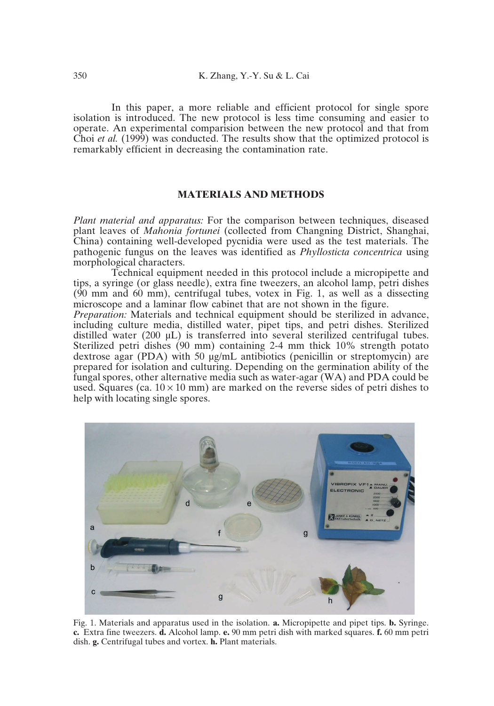In this paper, a more reliable and efficient protocol for single spore isolation is introduced. The new protocol is less time consuming and easier to operate. An experimental comparision between the new protocol and that from Choi *et al.* (1999) was conducted. The results show that the optimized protocol is remarkably efficient in decreasing the contamination rate.

# **MATERIALS AND METHODS**

*Plant material and apparatus:* For the comparison between techniques, diseased plant leaves of *Mahonia fortunei* (collected from Changning District, Shanghai, China) containing well-developed pycnidia were used as the test materials. The pathogenic fungus on the leaves was identified as *Phyllosticta concentrica* using morphological characters.

Technical equipment needed in this protocol include a micropipette and tips, a syringe (or glass needle), extra fine tweezers, an alcohol lamp, petri dishes (90 mm and 60 mm), centrifugal tubes, votex in Fig. 1, as well as a dissecting microscope and a laminar flow cabinet that are not shown in the figure.

*Preparation:* Materials and technical equipment should be sterilized in advance, including culture media, distilled water, pipet tips, and petri dishes. Sterilized distilled water (200 µL) is transferred into several sterilized centrifugal tubes. Sterilized petri dishes (90 mm) containing 2-4 mm thick 10% strength potato dextrose agar (PDA) with 50 µg/mL antibiotics (penicillin or streptomycin) are prepared for isolation and culturing. Depending on the germination ability of the fungal spores, other alternative media such as water-agar (WA) and PDA could be used. Squares (ca.  $10 \times 10$  mm) are marked on the reverse sides of petri dishes to help with locating single spores.



Fig. 1. Materials and apparatus used in the isolation. **a.** Micropipette and pipet tips. **b.** Syringe. **c.** Extra fine tweezers. **d.** Alcohol lamp. **e.** 90 mm petri dish with marked squares. **f.** 60 mm petri dish. **g.** Centrifugal tubes and vortex. **h.** Plant materials.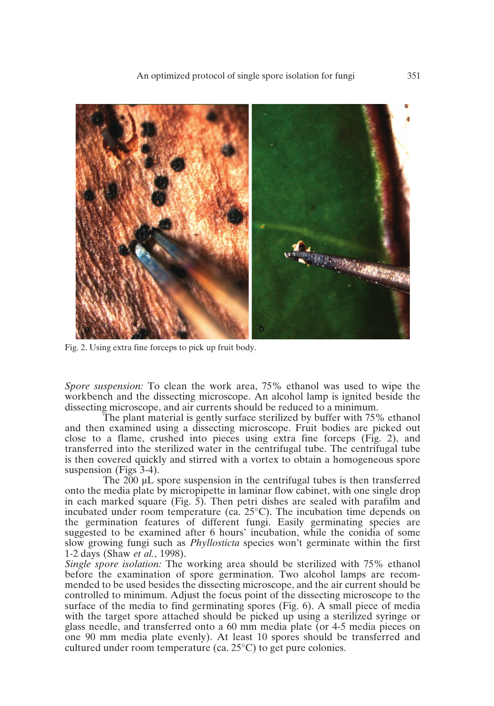

Fig. 2. Using extra fine forceps to pick up fruit body.

*Spore suspension:* To clean the work area, 75% ethanol was used to wipe the workbench and the dissecting microscope. An alcohol lamp is ignited beside the dissecting microscope, and air currents should be reduced to a minimum.

The plant material is gently surface sterilized by buffer with 75% ethanol and then examined using a dissecting microscope. Fruit bodies are picked out close to a flame, crushed into pieces using extra fine forceps (Fig. 2), and transferred into the sterilized water in the centrifugal tube. The centrifugal tube is then covered quickly and stirred with a vortex to obtain a homogeneous spore suspension (Figs 3-4).

The 200  $\mu$ L spore suspension in the centrifugal tubes is then transferred onto the media plate by micropipette in laminar flow cabinet, with one single drop in each marked square (Fig. 5). Then petri dishes are sealed with parafilm and incubated under room temperature (ca. 25°C). The incubation time depends on the germination features of different fungi. Easily germinating species are suggested to be examined after 6 hours' incubation, while the conidia of some slow growing fungi such as *Phyllosticta* species won't germinate within the first 1-2 days (Shaw *et al.*, 1998).

*Single spore isolation:* The working area should be sterilized with 75% ethanol before the examination of spore germination. Two alcohol lamps are recommended to be used besides the dissecting microscope, and the air current should be controlled to minimum. Adjust the focus point of the dissecting microscope to the surface of the media to find germinating spores (Fig. 6). A small piece of media with the target spore attached should be picked up using a sterilized syringe or glass needle, and transferred onto a 60 mm media plate (or 4-5 media pieces on one 90 mm media plate evenly). At least 10 spores should be transferred and cultured under room temperature (ca. 25°C) to get pure colonies.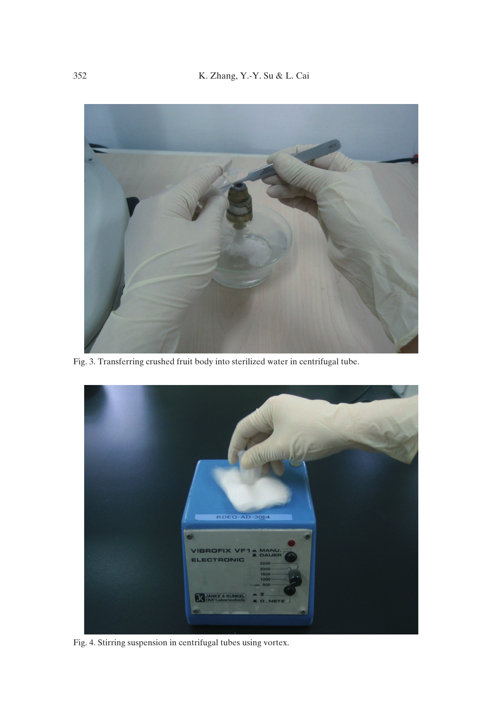

Fig. 3. Transferring crushed fruit body into sterilized water in centrifugal tube.



Fig. 4. Stirring suspension in centrifugal tubes using vortex.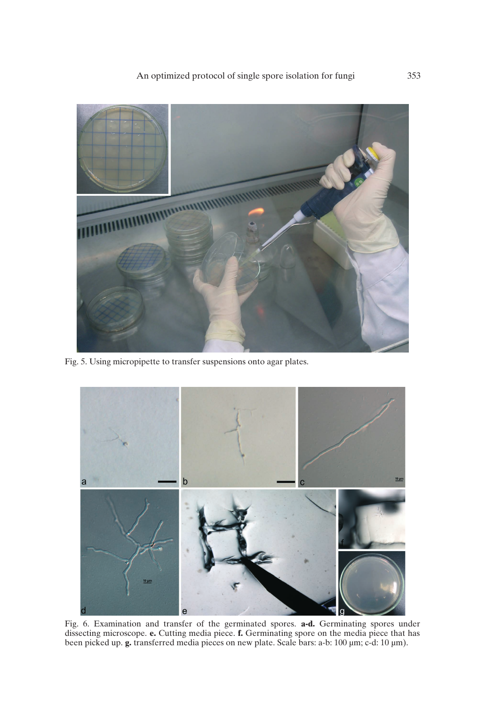

Fig. 5. Using micropipette to transfer suspensions onto agar plates.



Fig. 6. Examination and transfer of the germinated spores. **a-d.** Germinating spores under dissecting microscope. **e.** Cutting media piece. **f.** Germinating spore on the media piece that has been picked up. **g.** transferred media pieces on new plate. Scale bars: a-b: 100 µm; c-d: 10 µm).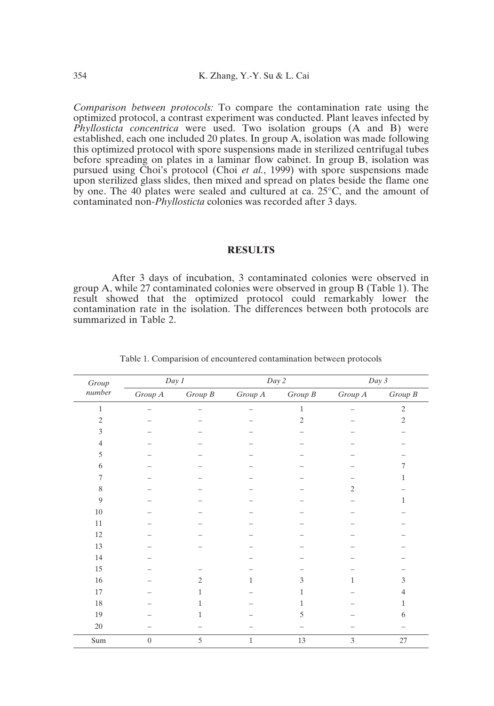*Comparison between protocols:* To compare the contamination rate using the optimized protocol, a contrast experiment was conducted. Plant leaves infected by *Phyllosticta concentrica* were used. Two isolation groups (A and B) were established, each one included 20 plates. In group A, isolation was made following this optimized protocol with spore suspensions made in sterilized centrifugal tubes before spreading on plates in a laminar flow cabinet. In group B, isolation was pursued using Choi's protocol (Choi *et al.*, 1999) with spore suspensions made upon sterilized glass slides, then mixed and spread on plates beside the flame one by one. The 40 plates were sealed and cultured at ca. 25°C, and the amount of contaminated non-*Phyllosticta* colonies was recorded after 3 days.

## **RESULTS**

After 3 days of incubation, 3 contaminated colonies were observed in group A, while 27 contaminated colonies were observed in group B (Table 1). The result showed that the optimized protocol could remarkably lower the contamination rate in the isolation. The differences between both protocols are summarized in Table 2.

| Group<br>number | Day 1            |                | Day 2        |                | Day 3          |                |
|-----------------|------------------|----------------|--------------|----------------|----------------|----------------|
|                 | $Group\ A$       | Group B        | Group A      | $Group\ B$     | $Group\ A$     | Group B        |
| $\mathbf{1}$    |                  |                |              | $\mathbf{1}$   |                | $\sqrt{2}$     |
| $\overline{c}$  |                  |                |              | $\overline{c}$ |                | $\mathfrak{2}$ |
| 3               |                  |                |              |                |                |                |
| $\overline{4}$  |                  |                |              |                |                |                |
| 5               |                  |                |              |                |                |                |
| 6               |                  |                |              |                |                | 7              |
| 7               |                  |                |              |                |                | 1              |
| 8               |                  |                |              |                | 2              |                |
| 9               |                  |                |              |                |                | $\mathbf{1}$   |
| $10\,$          |                  |                |              |                |                |                |
| 11              |                  |                |              |                |                |                |
| 12              |                  |                |              |                |                |                |
| 13              |                  |                |              |                |                |                |
| 14              |                  |                |              |                |                |                |
| 15              |                  |                |              |                |                |                |
| $16\,$          |                  | $\overline{c}$ | $\mathbf{1}$ | 3              | $\mathbf{1}$   | 3              |
| 17              |                  | 1              |              |                |                | 4              |
| 18              |                  | 1              |              |                |                | 1              |
| 19              |                  | 1              |              | 5              |                | 6              |
| 20              |                  |                |              |                |                |                |
| Sum             | $\boldsymbol{0}$ | 5              | $\mathbf{1}$ | 13             | $\mathfrak{Z}$ | $27\,$         |

Table 1. Comparision of encountered contamination between protocols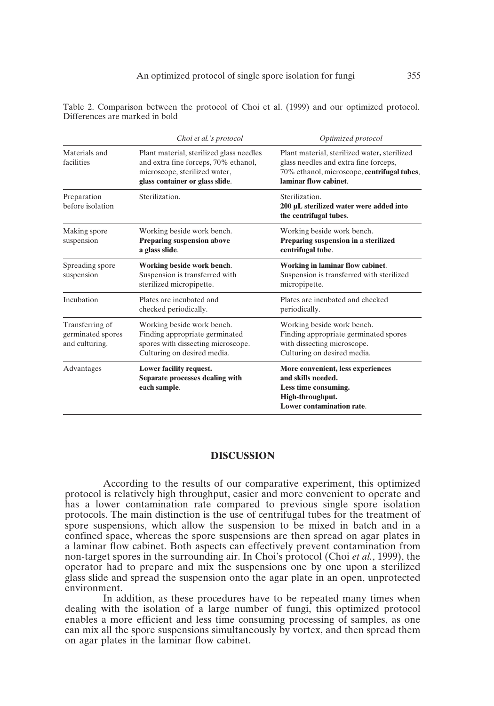|                                                        | Choi et al.'s protocol                                                                                                                               | Optimized protocol                                                                                                                                            |  |  |
|--------------------------------------------------------|------------------------------------------------------------------------------------------------------------------------------------------------------|---------------------------------------------------------------------------------------------------------------------------------------------------------------|--|--|
| Materials and<br>facilities                            | Plant material, sterilized glass needles<br>and extra fine forceps, 70% ethanol,<br>microscope, sterilized water,<br>glass container or glass slide. | Plant material, sterilized water, sterilized<br>glass needles and extra fine forceps,<br>70% ethanol, microscope, centrifugal tubes,<br>laminar flow cabinet. |  |  |
| Preparation<br>before isolation                        | Sterilization.                                                                                                                                       | Sterilization.<br>200 µL sterilized water were added into<br>the centrifugal tubes.                                                                           |  |  |
| Making spore<br>suspension                             | Working beside work bench.<br><b>Preparing suspension above</b><br>a glass slide.                                                                    | Working beside work bench.<br>Preparing suspension in a sterilized<br>centrifugal tube.                                                                       |  |  |
| Spreading spore<br>suspension                          | Working beside work bench.<br>Suspension is transferred with<br>sterilized micropipette.                                                             | Working in laminar flow cabinet.<br>Suspension is transferred with sterilized<br>micropipette.                                                                |  |  |
| Incubation                                             | Plates are incubated and<br>checked periodically.                                                                                                    | Plates are incubated and checked<br>periodically.                                                                                                             |  |  |
| Transferring of<br>germinated spores<br>and culturing. | Working beside work bench.<br>Finding appropriate germinated<br>spores with dissecting microscope.<br>Culturing on desired media.                    | Working beside work bench.<br>Finding appropriate germinated spores<br>with dissecting microscope.<br>Culturing on desired media.                             |  |  |
| Advantages                                             | Lower facility request.<br>Separate processes dealing with<br>each sample.                                                                           | More convenient, less experiences<br>and skills needed.<br>Less time consuming.<br>High-throughput.<br>Lower contamination rate.                              |  |  |

Table 2. Comparison between the protocol of Choi et al. (1999) and our optimized protocol. Differences are marked in bold

# **DISCUSSION**

According to the results of our comparative experiment, this optimized protocol is relatively high throughput, easier and more convenient to operate and has a lower contamination rate compared to previous single spore isolation protocols. The main distinction is the use of centrifugal tubes for the treatment of spore suspensions, which allow the suspension to be mixed in batch and in a confined space, whereas the spore suspensions are then spread on agar plates in a laminar flow cabinet. Both aspects can effectively prevent contamination from non-target spores in the surrounding air. In Choi's protocol (Choi *et al.*, 1999), the operator had to prepare and mix the suspensions one by one upon a sterilized glass slide and spread the suspension onto the agar plate in an open, unprotected environment.

In addition, as these procedures have to be repeated many times when dealing with the isolation of a large number of fungi, this optimized protocol enables a more efficient and less time consuming processing of samples, as one can mix all the spore suspensions simultaneously by vortex, and then spread them on agar plates in the laminar flow cabinet.